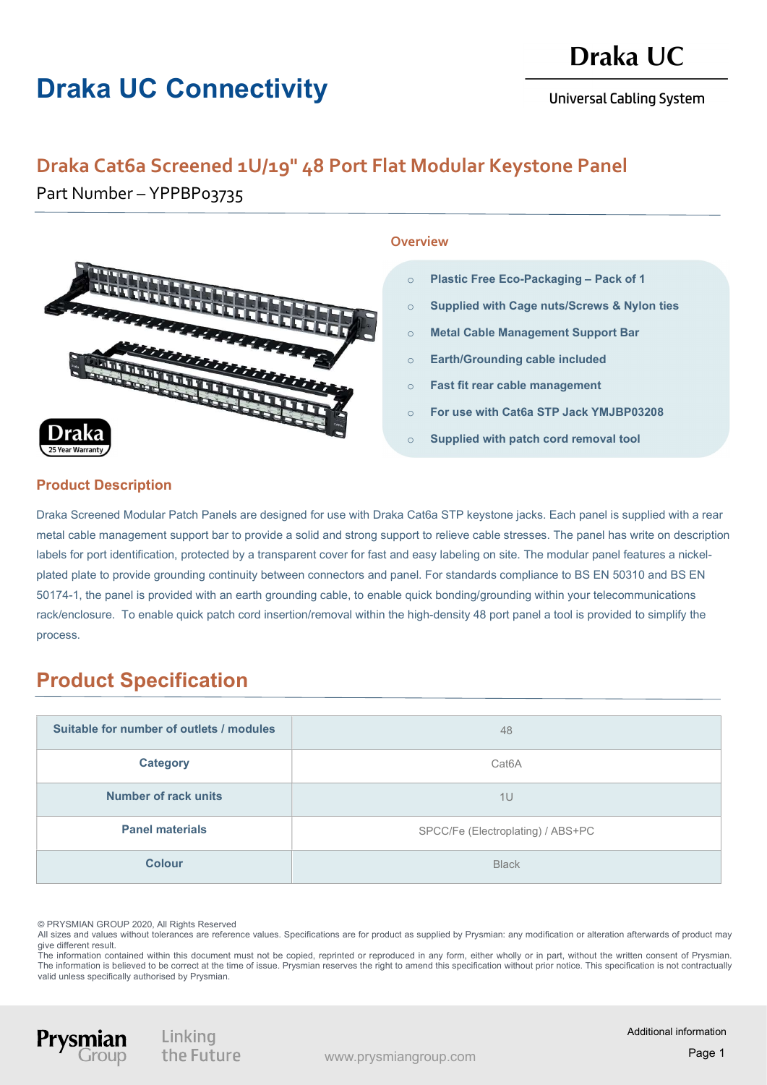# Draka UC Connectivity

# Draka UC

**Universal Cabling System** 

## Draka Cat6a Screened 1U/19" 48 Port Flat Modular Keystone Panel

Part Number – YPPBP03735



#### **Overview**

- o Plastic Free Eco-Packaging Pack of 1
- o Supplied with Cage nuts/Screws & Nylon ties
- o Metal Cable Management Support Bar
- o Earth/Grounding cable included
- o Fast fit rear cable management
- o For use with Cat6a STP Jack YMJBP03208
- o Supplied with patch cord removal tool

#### Product Description

Draka Screened Modular Patch Panels are designed for use with Draka Cat6a STP keystone jacks. Each panel is supplied with a rear metal cable management support bar to provide a solid and strong support to relieve cable stresses. The panel has write on description labels for port identification, protected by a transparent cover for fast and easy labeling on site. The modular panel features a nickelplated plate to provide grounding continuity between connectors and panel. For standards compliance to BS EN 50310 and BS EN 50174-1, the panel is provided with an earth grounding cable, to enable quick bonding/grounding within your telecommunications rack/enclosure. To enable quick patch cord insertion/removal within the high-density 48 port panel a tool is provided to simplify the process.

## Product Specification

| Suitable for number of outlets / modules | 48                                |
|------------------------------------------|-----------------------------------|
| <b>Category</b>                          | Cat <sub>6</sub> A                |
| Number of rack units                     | 1U                                |
| <b>Panel materials</b>                   | SPCC/Fe (Electroplating) / ABS+PC |
| <b>Colour</b>                            | <b>Black</b>                      |

© PRYSMIAN GROUP 2020, All Rights Reserved

Prysn

All sizes and values without tolerances are reference values. Specifications are for product as supplied by Prysmian: any modification or alteration afterwards of product may give different result.

The information contained within this document must not be copied, reprinted or reproduced in any form, either wholly or in part, without the written consent of Prysmian. The information is believed to be correct at the time of issue. Prysmian reserves the right to amend this specification without prior notice. This specification is not contractually valid unless specifically authorised by Prysmian.

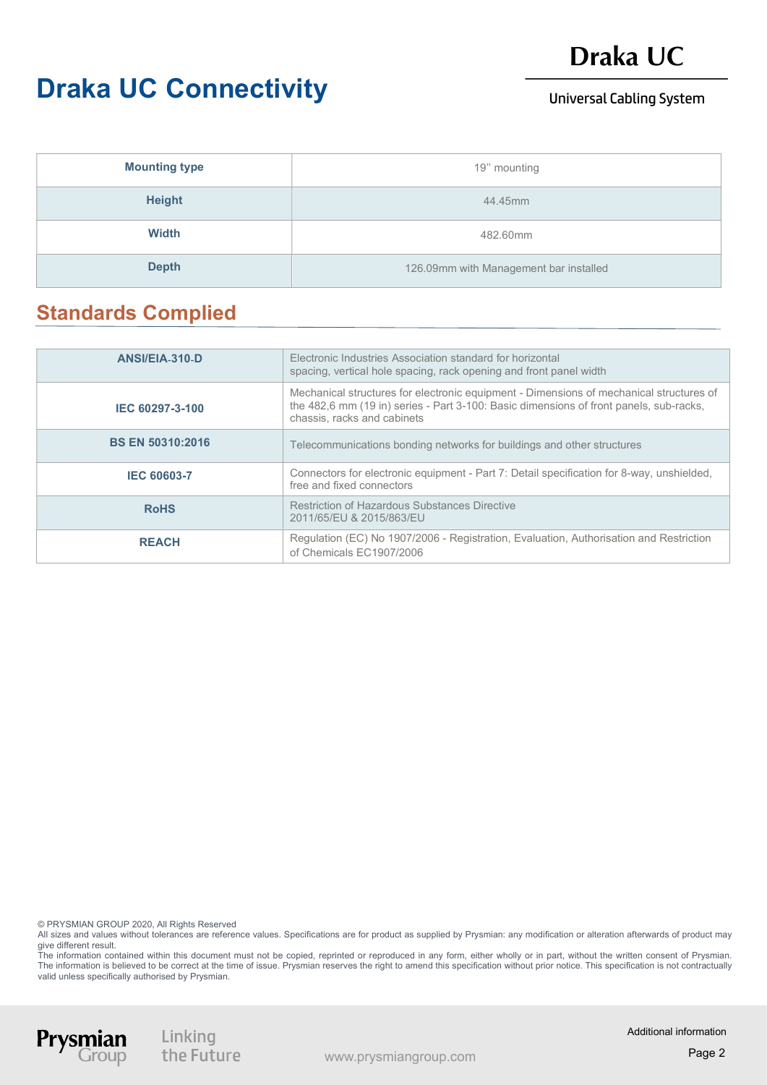## Draka UC

# Draka UC Connectivity

### **Universal Cabling System**

| <b>Mounting type</b> | 19" mounting                           |
|----------------------|----------------------------------------|
| <b>Height</b>        | 44.45mm                                |
| Width                | 482.60mm                               |
| <b>Depth</b>         | 126.09mm with Management bar installed |

### Standards Complied

| ANSI/EIA-310-D          | Electronic Industries Association standard for horizontal<br>spacing, vertical hole spacing, rack opening and front panel width                                                                                  |
|-------------------------|------------------------------------------------------------------------------------------------------------------------------------------------------------------------------------------------------------------|
| IEC 60297-3-100         | Mechanical structures for electronic equipment - Dimensions of mechanical structures of<br>the 482,6 mm (19 in) series - Part 3-100: Basic dimensions of front panels, sub-racks,<br>chassis, racks and cabinets |
| <b>BS EN 50310:2016</b> | Telecommunications bonding networks for buildings and other structures                                                                                                                                           |
| <b>IEC 60603-7</b>      | Connectors for electronic equipment - Part 7: Detail specification for 8-way, unshielded,<br>free and fixed connectors                                                                                           |
| <b>RoHS</b>             | <b>Restriction of Hazardous Substances Directive</b><br>2011/65/EU & 2015/863/EU                                                                                                                                 |
| <b>REACH</b>            | Regulation (EC) No 1907/2006 - Registration, Evaluation, Authorisation and Restriction<br>of Chemicals EC1907/2006                                                                                               |

© PRYSMIAN GROUP 2020, All Rights Reserved

All sizes and values without tolerances are reference values. Specifications are for product as supplied by Prysmian: any modification or alteration afterwards of product may give different result.

The information contained within this document must not be copied, reprinted or reproduced in any form, either wholly or in part, without the written consent of Prysmian. The information is believed to be correct at the time of issue. Prysmian reserves the right to amend this specification without prior notice. This specification is not contractually valid unless specifically authorised by Prysmian.